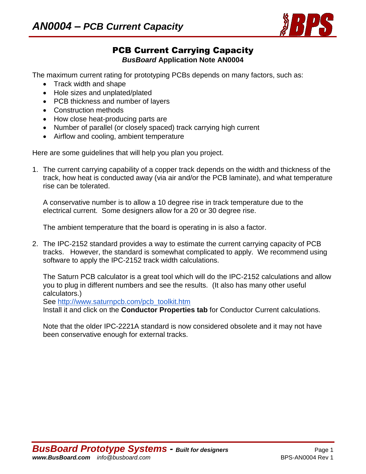

## PCB Current Carrying Capacity *BusBoard* **Application Note AN0004**

The maximum current rating for prototyping PCBs depends on many factors, such as:

- Track width and shape
- Hole sizes and unplated/plated
- PCB thickness and number of layers
- Construction methods
- How close heat-producing parts are
- Number of parallel (or closely spaced) track carrying high current
- Airflow and cooling, ambient temperature

Here are some guidelines that will help you plan you project.

1. The current carrying capability of a copper track depends on the width and thickness of the track, how heat is conducted away (via air and/or the PCB laminate), and what temperature rise can be tolerated.

A conservative number is to allow a 10 degree rise in track temperature due to the electrical current. Some designers allow for a 20 or 30 degree rise.

The ambient temperature that the board is operating in is also a factor.

2. The IPC-2152 standard provides a way to estimate the current carrying capacity of PCB tracks. However, the standard is somewhat complicated to apply. We recommend using software to apply the IPC-2152 track width calculations.

The Saturn PCB calculator is a great tool which will do the IPC-2152 calculations and allow you to plug in different numbers and see the results. (It also has many other useful calculators.)

See [http://www.saturnpcb.com/pcb\\_toolkit.htm](http://www.saturnpcb.com/pcb_toolkit.htm)

Install it and click on the **Conductor Properties tab** for Conductor Current calculations.

Note that the older IPC-2221A standard is now considered obsolete and it may not have been conservative enough for external tracks.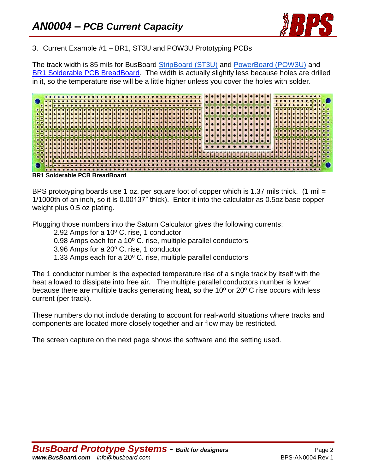

## 3. Current Example #1 – BR1, ST3U and POW3U Prototyping PCBs

The track width is 85 mils for BusBoard [StripBoard \(ST3U\)](http://www.busboard.com/st3u) and [PowerBoard \(POW3U\)](http://www.busboard.com/pow3u) and [BR1 Solderable PCB BreadBoard.](http://busboard.com/br1) The width is actually slightly less because holes are drilled in it, so the temperature rise will be a little higher unless you cover the holes with solder.



**BR1 Solderable PCB BreadBoard**

BPS prototyping boards use 1 oz. per square foot of copper which is 1.37 mils thick. (1 mil = 1/1000th of an inch, so it is 0.00137" thick). Enter it into the calculator as 0.5oz base copper weight plus 0.5 oz plating.

Plugging those numbers into the Saturn Calculator gives the following currents:

- 2.92 Amps for a 10º C. rise, 1 conductor
- 0.98 Amps each for a 10º C. rise, multiple parallel conductors
- 3.96 Amps for a 20º C. rise, 1 conductor
- 1.33 Amps each for a 20º C. rise, multiple parallel conductors

The 1 conductor number is the expected temperature rise of a single track by itself with the heat allowed to dissipate into free air. The multiple parallel conductors number is lower because there are multiple tracks generating heat, so the 10º or 20º C rise occurs with less current (per track).

These numbers do not include derating to account for real-world situations where tracks and components are located more closely together and air flow may be restricted.

The screen capture on the next page shows the software and the setting used.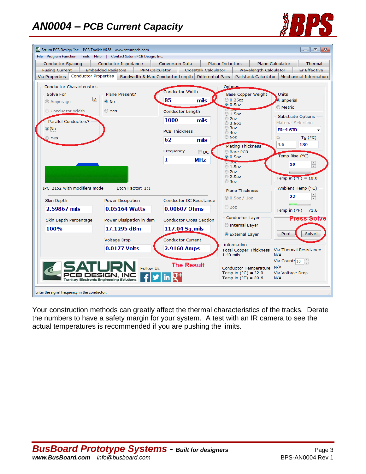# *AN0004 – PCB Current Capacity*





Your construction methods can greatly affect the thermal characteristics of the tracks. Derate the numbers to have a safety margin for your system. A test with an IR camera to see the actual temperatures is recommended if you are pushing the limits.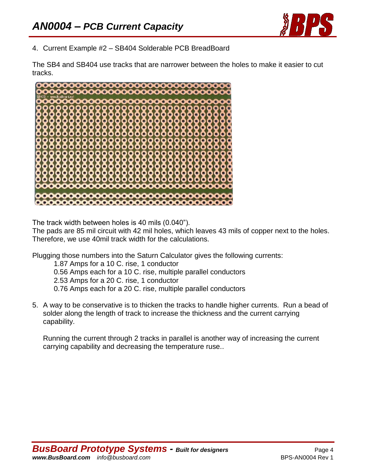

4. Current Example #2 – SB404 Solderable PCB BreadBoard

The SB4 and SB404 use tracks that are narrower between the holes to make it easier to cut tracks.



The track width between holes is 40 mils (0.040").

The pads are 85 mil circuit with 42 mil holes, which leaves 43 mils of copper next to the holes. Therefore, we use 40mil track width for the calculations.

Plugging those numbers into the Saturn Calculator gives the following currents:

1.87 Amps for a 10 C. rise, 1 conductor 0.56 Amps each for a 10 C. rise, multiple parallel conductors 2.53 Amps for a 20 C. rise, 1 conductor 0.76 Amps each for a 20 C. rise, multiple parallel conductors

5. A way to be conservative is to thicken the tracks to handle higher currents. Run a bead of solder along the length of track to increase the thickness and the current carrying capability.

Running the current through 2 tracks in parallel is another way of increasing the current carrying capability and decreasing the temperature ruse..